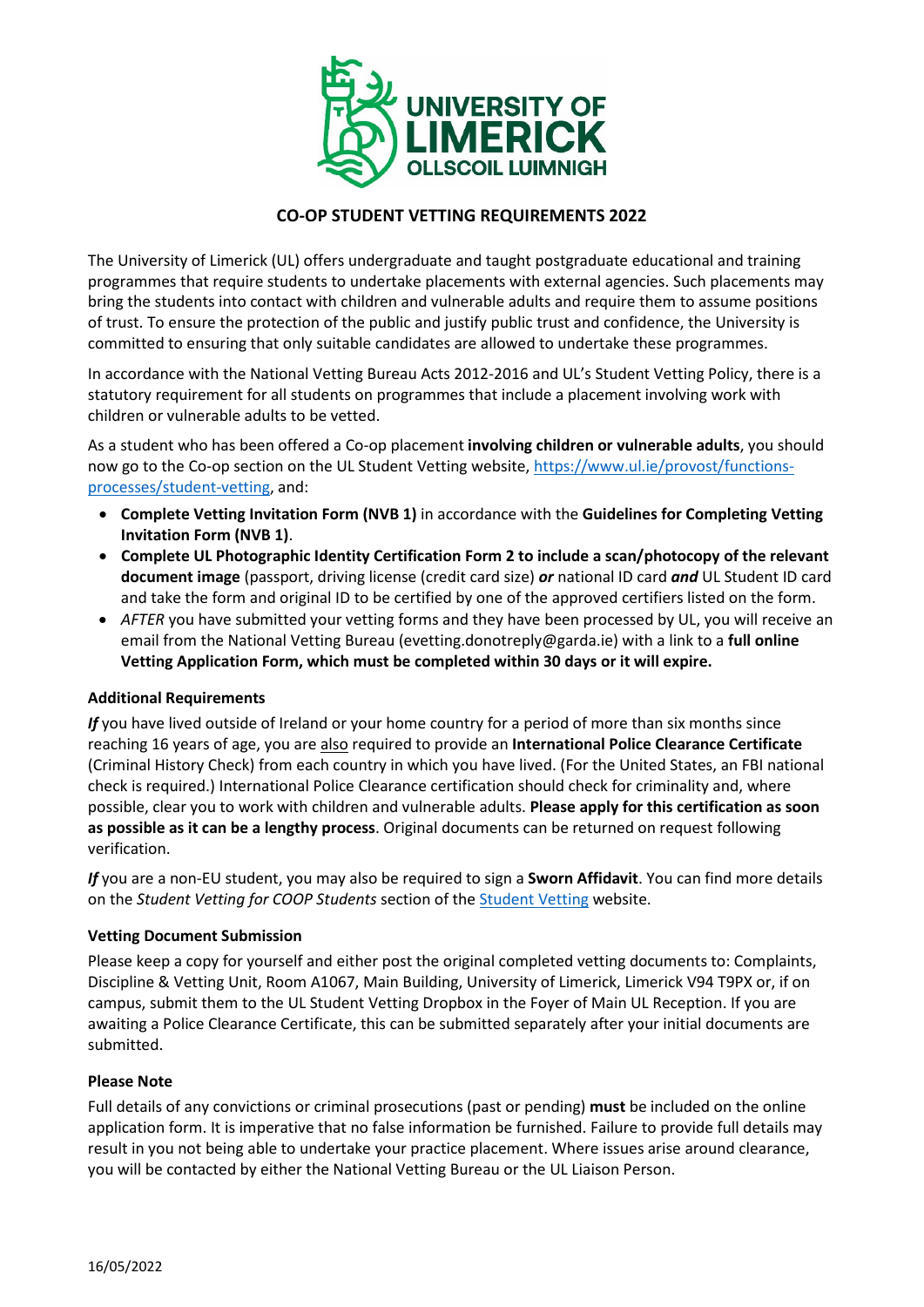

# **CO-OP STUDENT VETTING REQUIREMENTS 2022**

The University of Limerick (UL) offers undergraduate and taught postgraduate educational and training programmes that require students to undertake placements with external agencies. Such placements may bring the students into contact with children and vulnerable adults and require them to assume positions of trust. To ensure the protection of the public and justify public trust and confidence, the University is committed to ensuring that only suitable candidates are allowed to undertake these programmes.

In accordance with the National Vetting Bureau Acts 2012-2016 and UL's Student Vetting Policy, there is a statutory requirement for all students on programmes that include a placement involving work with children or vulnerable adults to be vetted.

As a student who has been offered a Co-op placement **involving children or vulnerable adults**, you should now go to the Co-op section on the UL Student Vetting website, [https://www.ul.ie/provost/functions](https://www.ul.ie/provost/functions-processes/student-vetting)[processes/student-vetting,](https://www.ul.ie/provost/functions-processes/student-vetting) and:

- **Complete Vetting Invitation Form (NVB 1)** in accordance with the **Guidelines for Completing Vetting Invitation Form (NVB 1)**.
- **Complete UL Photographic Identity Certification Form 2 to include a scan/photocopy of the relevant document image** (passport, driving license (credit card size) *or* national ID card *and* UL Student ID card and take the form and original ID to be certified by one of the approved certifiers listed on the form.
- *AFTER* you have submitted your vetting forms and they have been processed by UL, you will receive an email from the National Vetting Bureau (evetting.donotreply@garda.ie) with a link to a **full online Vetting Application Form, which must be completed within 30 days or it will expire.**

## **Additional Requirements**

*If* you have lived outside of Ireland or your home country for a period of more than six months since reaching 16 years of age, you are also required to provide an **International Police Clearance Certificate** (Criminal History Check) from each country in which you have lived. (For the United States, an FBI national check is required.) International Police Clearance certification should check for criminality and, where possible, clear you to work with children and vulnerable adults. **Please apply for this certification as soon as possible as it can be a lengthy process**. Original documents can be returned on request following verification.

*If* you are a non-EU student, you may also be required to sign a **Sworn Affidavit**. You can find more details on the *Student Vetting for COOP Students* section of the [Student Vetting](https://www.ul.ie/provost/functions-processes/student-vetting) website.

## **Vetting Document Submission**

Please keep a copy for yourself and either post the original completed vetting documents to: Complaints, Discipline & Vetting Unit, Room A1067, Main Building, University of Limerick, Limerick V94 T9PX or, if on campus, submit them to the UL Student Vetting Dropbox in the Foyer of Main UL Reception. If you are awaiting a Police Clearance Certificate, this can be submitted separately after your initial documents are submitted.

## **Please Note**

Full details of any convictions or criminal prosecutions (past or pending) **must** be included on the online application form. It is imperative that no false information be furnished. Failure to provide full details may result in you not being able to undertake your practice placement. Where issues arise around clearance, you will be contacted by either the National Vetting Bureau or the UL Liaison Person.